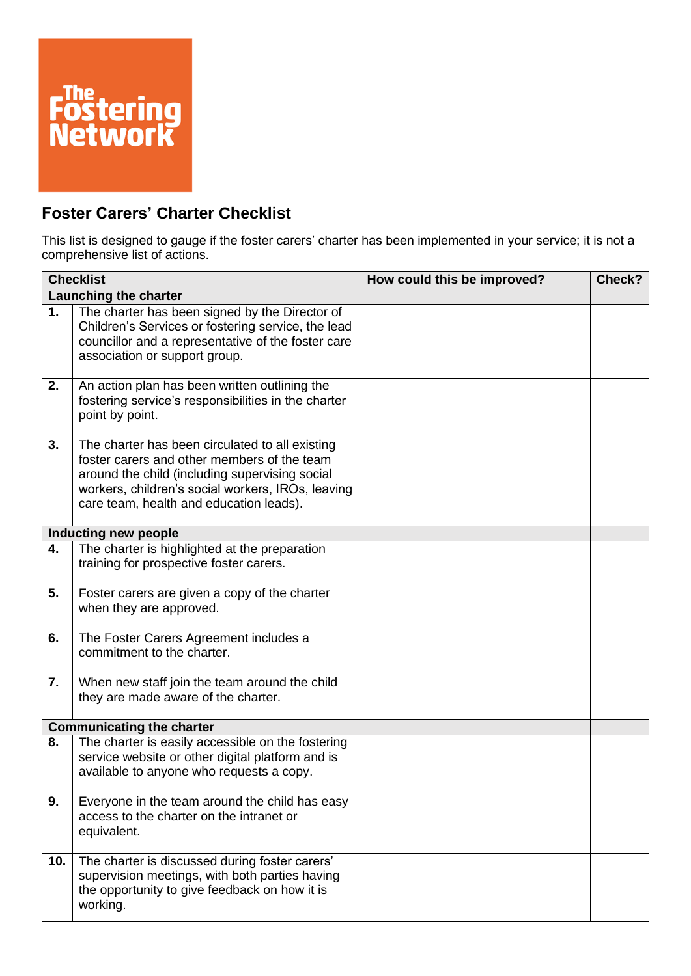

## **Foster Carers' Charter Checklist**

This list is designed to gauge if the foster carers' charter has been implemented in your service; it is not a comprehensive list of actions.

| <b>Checklist</b>      |                                                                                                                                                                                                                                                  | How could this be improved? | Check? |
|-----------------------|--------------------------------------------------------------------------------------------------------------------------------------------------------------------------------------------------------------------------------------------------|-----------------------------|--------|
| Launching the charter |                                                                                                                                                                                                                                                  |                             |        |
| 1.                    | The charter has been signed by the Director of<br>Children's Services or fostering service, the lead<br>councillor and a representative of the foster care<br>association or support group.                                                      |                             |        |
| 2.                    | An action plan has been written outlining the<br>fostering service's responsibilities in the charter<br>point by point.                                                                                                                          |                             |        |
| 3.                    | The charter has been circulated to all existing<br>foster carers and other members of the team<br>around the child (including supervising social<br>workers, children's social workers, IROs, leaving<br>care team, health and education leads). |                             |        |
|                       | Inducting new people                                                                                                                                                                                                                             |                             |        |
| 4.                    | The charter is highlighted at the preparation<br>training for prospective foster carers.                                                                                                                                                         |                             |        |
| 5.                    | Foster carers are given a copy of the charter<br>when they are approved.                                                                                                                                                                         |                             |        |
| 6.                    | The Foster Carers Agreement includes a<br>commitment to the charter.                                                                                                                                                                             |                             |        |
| 7.                    | When new staff join the team around the child<br>they are made aware of the charter.                                                                                                                                                             |                             |        |
|                       | <b>Communicating the charter</b>                                                                                                                                                                                                                 |                             |        |
| 8.                    | The charter is easily accessible on the fostering<br>service website or other digital platform and is<br>available to anyone who requests a copy.                                                                                                |                             |        |
| 9.                    | Everyone in the team around the child has easy<br>access to the charter on the intranet or<br>equivalent.                                                                                                                                        |                             |        |
| 10.                   | The charter is discussed during foster carers'<br>supervision meetings, with both parties having<br>the opportunity to give feedback on how it is<br>working.                                                                                    |                             |        |